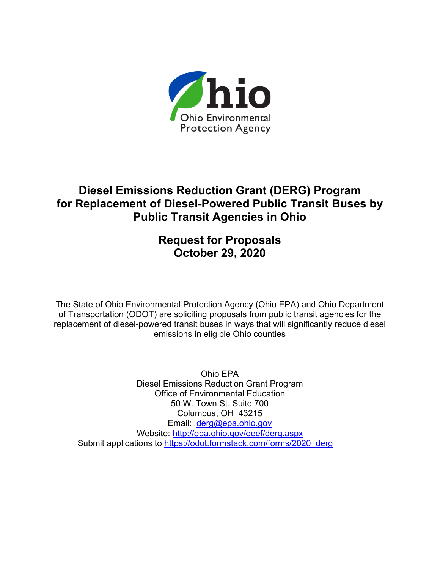

## **Diesel Emissions Reduction Grant (DERG) Program for Replacement of Diesel-Powered Public Transit Buses by Public Transit Agencies in Ohio**

## **Request for Proposals October 29, 2020**

The State of Ohio Environmental Protection Agency (Ohio EPA) and Ohio Department of Transportation (ODOT) are soliciting proposals from public transit agencies for the replacement of diesel-powered transit buses in ways that will significantly reduce diesel emissions in eligible Ohio counties

Ohio EPA Diesel Emissions Reduction Grant Program Office of Environmental Education 50 W. Town St. Suite 700 Columbus, OH 43215 Email: [derg@epa.ohio.gov](mailto:derg@epa.ohio.gov) Website: <http://epa.ohio.gov/oeef/derg.aspx> Submit applications to [https://odot.formstack.com/forms/2020\\_derg](https://odot.formstack.com/forms/2020_derg)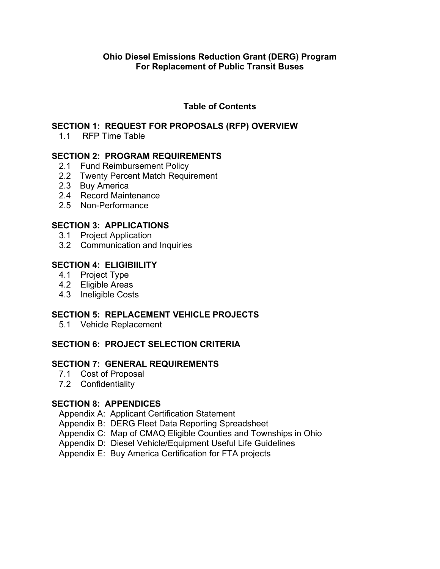#### **Table of Contents**

#### **SECTION 1: REQUEST FOR PROPOSALS (RFP) OVERVIEW**

1.1 RFP Time Table

#### **SECTION 2: PROGRAM REQUIREMENTS**

- 2.1 Fund Reimbursement Policy
- 2.2 Twenty Percent Match Requirement
- 2.3 Buy America
- 2.4 Record Maintenance
- 2.5 Non-Performance

#### **SECTION 3: APPLICATIONS**

- 3.1 Project Application
- 3.2 Communication and Inquiries

#### **SECTION 4: ELIGIBIILITY**

- 4.1 Project Type
- 4.2 Eligible Areas
- 4.3 Ineligible Costs

#### **SECTION 5: REPLACEMENT VEHICLE PROJECTS**

5.1 Vehicle Replacement

#### **SECTION 6: PROJECT SELECTION CRITERIA**

#### **SECTION 7: GENERAL REQUIREMENTS**

- 7.1 Cost of Proposal
- 7.2 Confidentiality

#### **SECTION 8: APPENDICES**

Appendix A: Applicant Certification Statement

- Appendix B: DERG Fleet Data Reporting Spreadsheet
- Appendix C: Map of CMAQ Eligible Counties and Townships in Ohio
- Appendix D: Diesel Vehicle/Equipment Useful Life Guidelines
- Appendix E: Buy America Certification for FTA projects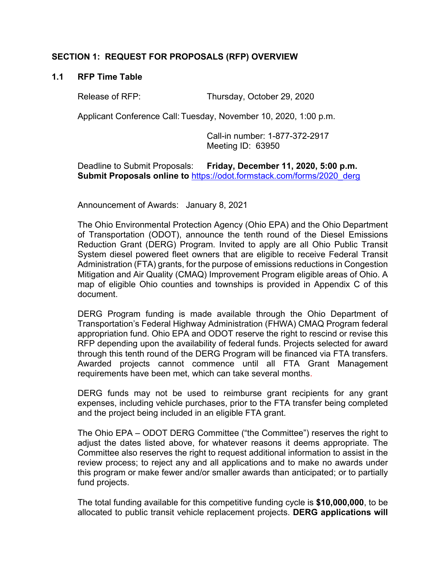#### **SECTION 1: REQUEST FOR PROPOSALS (RFP) OVERVIEW**

#### **1.1 RFP Time Table**

Release of RFP: Thursday, October 29, 2020

Applicant Conference Call: Tuesday, November 10, 2020, 1:00 p.m.

Call-in number: 1-877-372-2917 Meeting ID: 63950

Deadline to Submit Proposals: **Friday, December 11, 2020, 5:00 p.m.**  Submit Proposals online to [https://odot.formstack.com/forms/2020\\_derg](https://odot.formstack.com/forms/2020_derg)

Announcement of Awards: January 8, 2021

The Ohio Environmental Protection Agency (Ohio EPA) and the Ohio Department of Transportation (ODOT), announce the tenth round of the Diesel Emissions Reduction Grant (DERG) Program. Invited to apply are all Ohio Public Transit System diesel powered fleet owners that are eligible to receive Federal Transit Administration (FTA) grants, for the purpose of emissions reductions in Congestion Mitigation and Air Quality (CMAQ) Improvement Program eligible areas of Ohio. A map of eligible Ohio counties and townships is provided in Appendix C of this document.

DERG Program funding is made available through the Ohio Department of Transportation's Federal Highway Administration (FHWA) CMAQ Program federal appropriation fund. Ohio EPA and ODOT reserve the right to rescind or revise this RFP depending upon the availability of federal funds. Projects selected for award through this tenth round of the DERG Program will be financed via FTA transfers. Awarded projects cannot commence until all FTA Grant Management requirements have been met, which can take several months.

DERG funds may not be used to reimburse grant recipients for any grant expenses, including vehicle purchases, prior to the FTA transfer being completed and the project being included in an eligible FTA grant.

The Ohio EPA – ODOT DERG Committee ("the Committee") reserves the right to adjust the dates listed above, for whatever reasons it deems appropriate. The Committee also reserves the right to request additional information to assist in the review process; to reject any and all applications and to make no awards under this program or make fewer and/or smaller awards than anticipated; or to partially fund projects.

The total funding available for this competitive funding cycle is **\$10,000,000**, to be allocated to public transit vehicle replacement projects. **DERG applications will**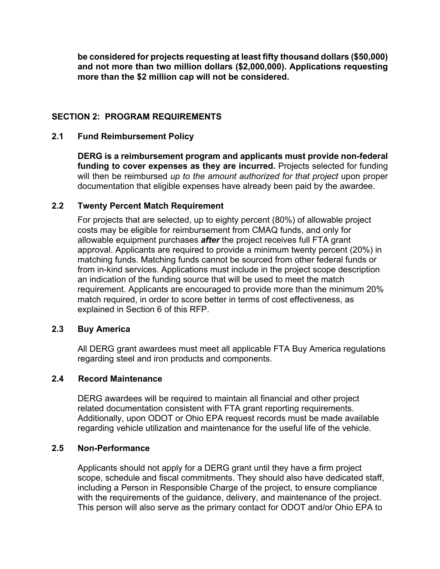**be considered for projects requesting at least fifty thousand dollars (\$50,000) and not more than two million dollars (\$2,000,000). Applications requesting more than the \$2 million cap will not be considered.** 

#### **SECTION 2: PROGRAM REQUIREMENTS**

#### **2.1 Fund Reimbursement Policy**

**DERG is a reimbursement program and applicants must provide non-federal funding to cover expenses as they are incurred.** Projects selected for funding will then be reimbursed *up to the amount authorized for that project* upon proper documentation that eligible expenses have already been paid by the awardee.

#### **2.2 Twenty Percent Match Requirement**

For projects that are selected, up to eighty percent (80%) of allowable project costs may be eligible for reimbursement from CMAQ funds, and only for allowable equipment purchases *after* the project receives full FTA grant approval. Applicants are required to provide a minimum twenty percent (20%) in matching funds. Matching funds cannot be sourced from other federal funds or from in-kind services. Applications must include in the project scope description an indication of the funding source that will be used to meet the match requirement. Applicants are encouraged to provide more than the minimum 20% match required, in order to score better in terms of cost effectiveness, as explained in Section 6 of this RFP.

#### **2.3 Buy America**

All DERG grant awardees must meet all applicable FTA Buy America regulations regarding steel and iron products and components.

#### **2.4 Record Maintenance**

DERG awardees will be required to maintain all financial and other project related documentation consistent with FTA grant reporting requirements. Additionally, upon ODOT or Ohio EPA request records must be made available regarding vehicle utilization and maintenance for the useful life of the vehicle.

#### **2.5 Non-Performance**

Applicants should not apply for a DERG grant until they have a firm project scope, schedule and fiscal commitments. They should also have dedicated staff, including a Person in Responsible Charge of the project, to ensure compliance with the requirements of the guidance, delivery, and maintenance of the project. This person will also serve as the primary contact for ODOT and/or Ohio EPA to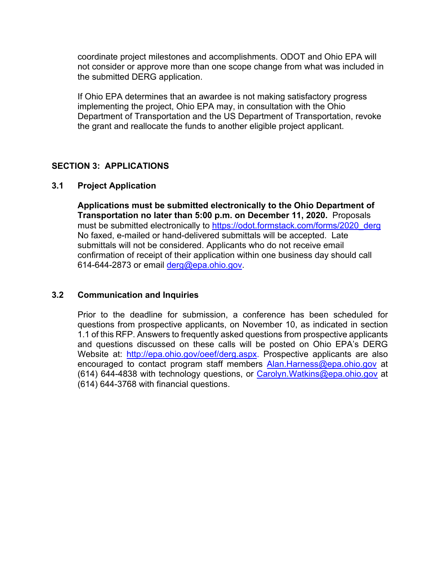coordinate project milestones and accomplishments. ODOT and Ohio EPA will not consider or approve more than one scope change from what was included in the submitted DERG application.

If Ohio EPA determines that an awardee is not making satisfactory progress implementing the project, Ohio EPA may, in consultation with the Ohio Department of Transportation and the US Department of Transportation, revoke the grant and reallocate the funds to another eligible project applicant.

#### **SECTION 3: APPLICATIONS**

#### **3.1 Project Application**

**Applications must be submitted electronically to the Ohio Department of Transportation no later than 5:00 p.m. on December 11, 2020.** Proposals must be submitted electronically to [https://odot.formstack.com/forms/2020\\_derg](https://odot.formstack.com/forms/2020_derg) No faxed, e-mailed or hand-delivered submittals will be accepted. Late submittals will not be considered. Applicants who do not receive email confirmation of receipt of their application within one business day should call 614-644-2873 or email [derg@epa.ohio.gov.](mailto:derg@epa.ohio.gov)

#### **3.2 Communication and Inquiries**

Prior to the deadline for submission, a conference has been scheduled for questions from prospective applicants, on November 10, as indicated in section 1.1 of this RFP. Answers to frequently asked questions from prospective applicants and questions discussed on these calls will be posted on Ohio EPA's DERG Website at: [http://epa.ohio.gov/oeef/derg.aspx.](http://epa.ohio.gov/oeef/derg.aspx) Prospective applicants are also encouraged to contact program staff members Alan. Harness@epa.ohio.gov at (614) 644-4838 with technology questions, or [Carolyn.Watkins@epa.ohio.gov](mailto:Carolyn.Watkins@epa.ohio.gov) at (614) 644-3768 with financial questions.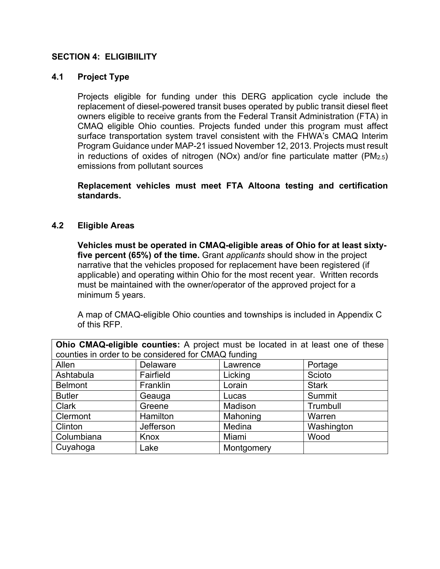#### **SECTION 4: ELIGIBIILITY**

#### **4.1 Project Type**

Projects eligible for funding under this DERG application cycle include the replacement of diesel-powered transit buses operated by public transit diesel fleet owners eligible to receive grants from the Federal Transit Administration (FTA) in CMAQ eligible Ohio counties. Projects funded under this program must affect surface transportation system travel consistent with the FHWA's CMAQ Interim Program Guidance under MAP-21 issued November 12, 2013. Projects must result in reductions of oxides of nitrogen (NOx) and/or fine particulate matter (PM2.5) emissions from pollutant sources

**Replacement vehicles must meet FTA Altoona testing and certification standards.** 

#### **4.2 Eligible Areas**

**Vehicles must be operated in CMAQ-eligible areas of Ohio for at least sixtyfive percent (65%) of the time.** Grant *applicants* should show in the project narrative that the vehicles proposed for replacement have been registered (if applicable) and operating within Ohio for the most recent year. Written records must be maintained with the owner/operator of the approved project for a minimum 5 years.

A map of CMAQ-eligible Ohio counties and townships is included in Appendix C of this RFP.

| Ohio CMAQ-eligible counties: A project must be located in at least one of these |                  |            |              |  |  |  |  |
|---------------------------------------------------------------------------------|------------------|------------|--------------|--|--|--|--|
| counties in order to be considered for CMAQ funding                             |                  |            |              |  |  |  |  |
| Allen                                                                           | <b>Delaware</b>  | Lawrence   | Portage      |  |  |  |  |
| Ashtabula                                                                       | Fairfield        | Licking    | Scioto       |  |  |  |  |
| <b>Belmont</b>                                                                  | Franklin         | Lorain     | <b>Stark</b> |  |  |  |  |
| <b>Butler</b>                                                                   | Geauga           | Lucas      | Summit       |  |  |  |  |
| <b>Clark</b>                                                                    | Greene           | Madison    | Trumbull     |  |  |  |  |
| Clermont                                                                        | Hamilton         | Mahoning   | Warren       |  |  |  |  |
| Clinton                                                                         | <b>Jefferson</b> | Medina     | Washington   |  |  |  |  |
| Columbiana                                                                      | Knox             | Miami      | Wood         |  |  |  |  |
| Cuyahoga                                                                        | Lake             | Montgomery |              |  |  |  |  |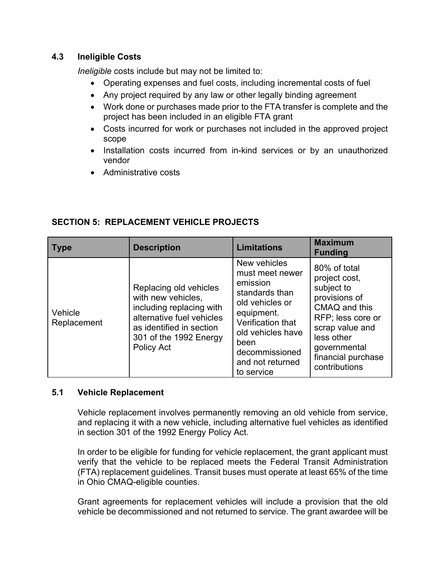#### **4.3 Ineligible Costs**

*Ineligible* costs include but may not be limited to:

- Operating expenses and fuel costs, including incremental costs of fuel
- Any project required by any law or other legally binding agreement
- Work done or purchases made prior to the FTA transfer is complete and the project has been included in an eligible FTA grant
- Costs incurred for work or purchases not included in the approved project scope
- Installation costs incurred from in-kind services or by an unauthorized vendor
- Administrative costs

| <b>Type</b>            | <b>Description</b>                                                                                                                                                        | <b>Limitations</b>                                                                                                                                                                                   | <b>Maximum</b><br><b>Funding</b>                                                                                                                                                           |
|------------------------|---------------------------------------------------------------------------------------------------------------------------------------------------------------------------|------------------------------------------------------------------------------------------------------------------------------------------------------------------------------------------------------|--------------------------------------------------------------------------------------------------------------------------------------------------------------------------------------------|
| Vehicle<br>Replacement | Replacing old vehicles<br>with new vehicles,<br>including replacing with<br>alternative fuel vehicles<br>as identified in section<br>301 of the 1992 Energy<br>Policy Act | New vehicles<br>must meet newer<br>emission<br>standards than<br>old vehicles or<br>equipment.<br>Verification that<br>old vehicles have<br>been<br>decommissioned<br>and not returned<br>to service | 80% of total<br>project cost,<br>subject to<br>provisions of<br>CMAQ and this<br>RFP; less core or<br>scrap value and<br>less other<br>governmental<br>financial purchase<br>contributions |

#### **SECTION 5: REPLACEMENT VEHICLE PROJECTS**

#### **5.1 Vehicle Replacement**

Vehicle replacement involves permanently removing an old vehicle from service, and replacing it with a new vehicle, including alternative fuel vehicles as identified in section 301 of the 1992 Energy Policy Act.

In order to be eligible for funding for vehicle replacement, the grant applicant must verify that the vehicle to be replaced meets the Federal Transit Administration (FTA) replacement guidelines. Transit buses must operate at least 65% of the time in Ohio CMAQ-eligible counties.

Grant agreements for replacement vehicles will include a provision that the old vehicle be decommissioned and not returned to service. The grant awardee will be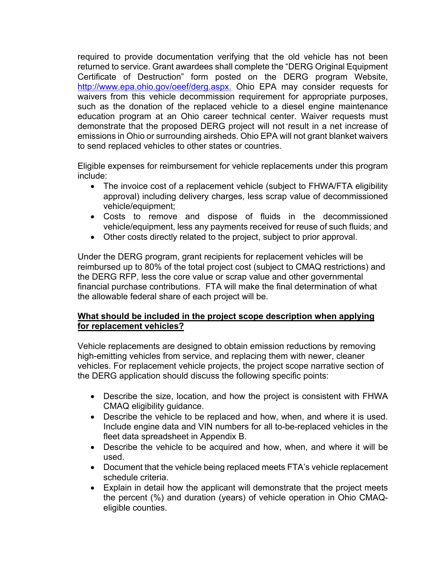required to provide documentation verifying that the old vehicle has not been returned to service. Grant awardees shall complete the "DERG Original Equipment Certificate of Destruction" form posted on the DERG program Website, [http://www.epa.ohio.gov/oeef/derg.aspx.](http://www.epa.ohio.gov/oeef/derg.aspx) Ohio EPA may consider requests for waivers from this vehicle decommission requirement for appropriate purposes, such as the donation of the replaced vehicle to a diesel engine maintenance education program at an Ohio career technical center. Waiver requests must demonstrate that the proposed DERG project will not result in a net increase of emissions in Ohio or surrounding airsheds. Ohio EPA will not grant blanket waivers to send replaced vehicles to other states or countries.

Eligible expenses for reimbursement for vehicle replacements under this program include:

- The invoice cost of a replacement vehicle (subject to FHWA/FTA eligibility approval) including delivery charges, less scrap value of decommissioned vehicle/equipment;
- Costs to remove and dispose of fluids in the decommissioned vehicle/equipment, less any payments received for reuse of such fluids; and
- Other costs directly related to the project, subject to prior approval.

Under the DERG program, grant recipients for replacement vehicles will be reimbursed up to 80% of the total project cost (subject to CMAQ restrictions) and the DERG RFP, less the core value or scrap value and other governmental financial purchase contributions. FTA will make the final determination of what the allowable federal share of each project will be.

#### **What should be included in the project scope description when applying for replacement vehicles?**

Vehicle replacements are designed to obtain emission reductions by removing high-emitting vehicles from service, and replacing them with newer, cleaner vehicles. For replacement vehicle projects, the project scope narrative section of the DERG application should discuss the following specific points:

- Describe the size, location, and how the project is consistent with FHWA CMAQ eligibility guidance.
- Describe the vehicle to be replaced and how, when, and where it is used. Include engine data and VIN numbers for all to-be-replaced vehicles in the fleet data spreadsheet in Appendix B.
- Describe the vehicle to be acquired and how, when, and where it will be used.
- Document that the vehicle being replaced meets FTA's vehicle replacement schedule criteria.
- Explain in detail how the applicant will demonstrate that the project meets the percent (%) and duration (years) of vehicle operation in Ohio CMAQeligible counties.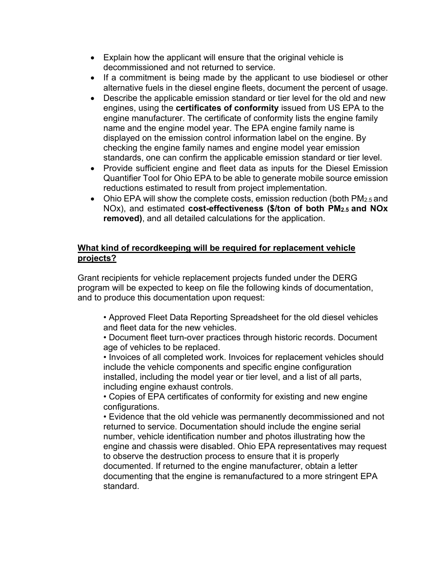- Explain how the applicant will ensure that the original vehicle is decommissioned and not returned to service.
- If a commitment is being made by the applicant to use biodiesel or other alternative fuels in the diesel engine fleets, document the percent of usage.
- Describe the applicable emission standard or tier level for the old and new engines, using the **certificates of conformity** issued from US EPA to the engine manufacturer. The certificate of conformity lists the engine family name and the engine model year. The EPA engine family name is displayed on the emission control information label on the engine. By checking the engine family names and engine model year emission standards, one can confirm the applicable emission standard or tier level.
- Provide sufficient engine and fleet data as inputs for the Diesel Emission Quantifier Tool for Ohio EPA to be able to generate mobile source emission reductions estimated to result from project implementation.
- Ohio EPA will show the complete costs, emission reduction (both PM<sub>2.5</sub> and NOx), and estimated **cost-effectiveness (\$/ton of both PM2.5 and NOx removed)**, and all detailed calculations for the application.

#### **What kind of recordkeeping will be required for replacement vehicle projects?**

Grant recipients for vehicle replacement projects funded under the DERG program will be expected to keep on file the following kinds of documentation, and to produce this documentation upon request:

• Approved Fleet Data Reporting Spreadsheet for the old diesel vehicles and fleet data for the new vehicles.

• Document fleet turn-over practices through historic records. Document age of vehicles to be replaced.

• Invoices of all completed work. Invoices for replacement vehicles should include the vehicle components and specific engine configuration installed, including the model year or tier level, and a list of all parts, including engine exhaust controls.

• Copies of EPA certificates of conformity for existing and new engine configurations.

• Evidence that the old vehicle was permanently decommissioned and not returned to service. Documentation should include the engine serial number, vehicle identification number and photos illustrating how the engine and chassis were disabled. Ohio EPA representatives may request to observe the destruction process to ensure that it is properly documented. If returned to the engine manufacturer, obtain a letter documenting that the engine is remanufactured to a more stringent EPA standard.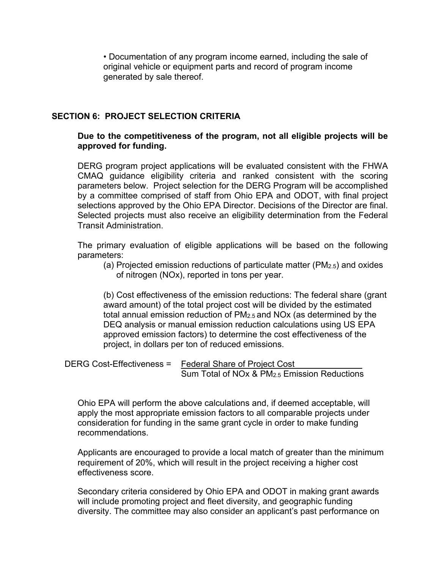• Documentation of any program income earned, including the sale of original vehicle or equipment parts and record of program income generated by sale thereof.

#### **SECTION 6: PROJECT SELECTION CRITERIA**

#### **Due to the competitiveness of the program, not all eligible projects will be approved for funding.**

DERG program project applications will be evaluated consistent with the FHWA CMAQ guidance eligibility criteria and ranked consistent with the scoring parameters below. Project selection for the DERG Program will be accomplished by a committee comprised of staff from Ohio EPA and ODOT, with final project selections approved by the Ohio EPA Director. Decisions of the Director are final. Selected projects must also receive an eligibility determination from the Federal Transit Administration.

The primary evaluation of eligible applications will be based on the following parameters:

(a) Projected emission reductions of particulate matter (PM2.5) and oxides of nitrogen (NOx), reported in tons per year.

(b) Cost effectiveness of the emission reductions: The federal share (grant award amount) of the total project cost will be divided by the estimated total annual emission reduction of PM2.5 and NOx (as determined by the DEQ analysis or manual emission reduction calculations using US EPA approved emission factors) to determine the cost effectiveness of the project, in dollars per ton of reduced emissions.

```
DERG Cost-Effectiveness = Federal Share of Project Cost
                            Sum Total of NOx & PM2.5 Emission Reductions
```
Ohio EPA will perform the above calculations and, if deemed acceptable, will apply the most appropriate emission factors to all comparable projects under consideration for funding in the same grant cycle in order to make funding recommendations.

Applicants are encouraged to provide a local match of greater than the minimum requirement of 20%, which will result in the project receiving a higher cost effectiveness score.

Secondary criteria considered by Ohio EPA and ODOT in making grant awards will include promoting project and fleet diversity, and geographic funding diversity. The committee may also consider an applicant's past performance on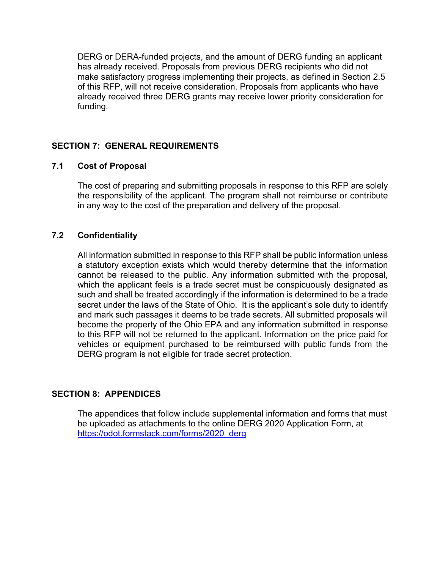DERG or DERA-funded projects, and the amount of DERG funding an applicant has already received. Proposals from previous DERG recipients who did not make satisfactory progress implementing their projects, as defined in Section 2.5 of this RFP, will not receive consideration. Proposals from applicants who have already received three DERG grants may receive lower priority consideration for funding.

#### **SECTION 7: GENERAL REQUIREMENTS**

#### **7.1 Cost of Proposal**

The cost of preparing and submitting proposals in response to this RFP are solely the responsibility of the applicant. The program shall not reimburse or contribute in any way to the cost of the preparation and delivery of the proposal.

#### **7.2 Confidentiality**

All information submitted in response to this RFP shall be public information unless a statutory exception exists which would thereby determine that the information cannot be released to the public. Any information submitted with the proposal, which the applicant feels is a trade secret must be conspicuously designated as such and shall be treated accordingly if the information is determined to be a trade secret under the laws of the State of Ohio. It is the applicant's sole duty to identify and mark such passages it deems to be trade secrets. All submitted proposals will become the property of the Ohio EPA and any information submitted in response to this RFP will not be returned to the applicant. Information on the price paid for vehicles or equipment purchased to be reimbursed with public funds from the DERG program is not eligible for trade secret protection.

#### **SECTION 8: APPENDICES**

The appendices that follow include supplemental information and forms that must be uploaded as attachments to the online DERG 2020 Application Form, at [https://odot.formstack.com/forms/2020\\_derg](https://odot.formstack.com/forms/2020_derg)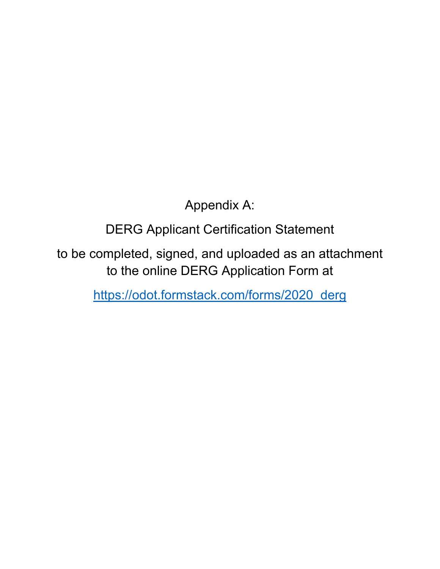Appendix A:

DERG Applicant Certification Statement

to be completed, signed, and uploaded as an attachment to the online DERG Application Form at

[https://odot.formstack.com/forms/2020\\_derg](https://odot.formstack.com/forms/2020_derg)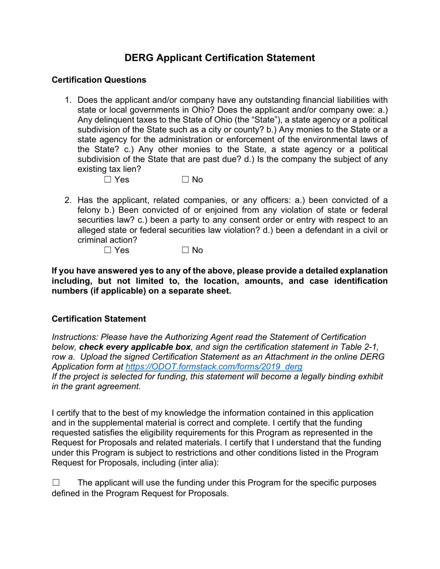### **DERG Applicant Certification Statement**

#### **Certification Questions**

- 1. Does the applicant and/or company have any outstanding financial liabilities with state or local governments in Ohio? Does the applicant and/or company owe: a.) Any delinquent taxes to the State of Ohio (the "State"), a state agency or a political subdivision of the State such as a city or county? b.) Any monies to the State or a state agency for the administration or enforcement of the environmental laws of the State? c.) Any other monies to the State, a state agency or a political subdivision of the State that are past due? d.) Is the company the subject of any existing tax lien?
	- $\Box$  Yes  $\Box$  No
- 2. Has the applicant, related companies, or any officers: a.) been convicted of a felony b.) Been convicted of or enjoined from any violation of state or federal securities law? c.) been a party to any consent order or entry with respect to an alleged state or federal securities law violation? d.) been a defendant in a civil or criminal action?

 $\Box$  Yes  $\Box$  No

**If you have answered yes to any of the above, please provide a detailed explanation including, but not limited to, the location, amounts, and case identification numbers (if applicable) on a separate sheet.**

#### **Certification Statement**

*Instructions: Please have the Authorizing Agent read the Statement of Certification below, check every applicable box, and sign the certification statement in Table 2-1, row a. Upload the signed Certification Statement as an Attachment in the online DERG Application form at [https://ODOT.formstack.com/forms/2019\\_derg](https://odot.formstack.com/forms/2019_derg) If the project is selected for funding, this statement will become a legally binding exhibit in the grant agreement.*

I certify that to the best of my knowledge the information contained in this application and in the supplemental material is correct and complete. I certify that the funding requested satisfies the eligibility requirements for this Program as represented in the Request for Proposals and related materials. I certify that I understand that the funding under this Program is subject to restrictions and other conditions listed in the Program Request for Proposals, including (inter alia):

☐ The applicant will use the funding under this Program for the specific purposes defined in the Program Request for Proposals.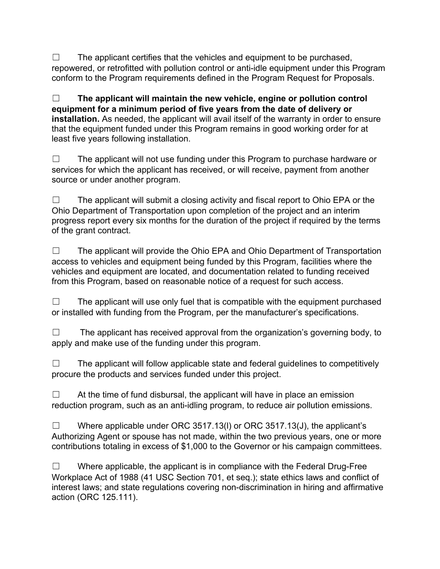$\Box$  The applicant certifies that the vehicles and equipment to be purchased, repowered, or retrofitted with pollution control or anti-idle equipment under this Program conform to the Program requirements defined in the Program Request for Proposals.

☐ **The applicant will maintain the new vehicle, engine or pollution control equipment for a minimum period of five years from the date of delivery or installation.** As needed, the applicant will avail itself of the warranty in order to ensure that the equipment funded under this Program remains in good working order for at least five years following installation.

☐ The applicant will not use funding under this Program to purchase hardware or services for which the applicant has received, or will receive, payment from another source or under another program.

 $\Box$  The applicant will submit a closing activity and fiscal report to Ohio EPA or the Ohio Department of Transportation upon completion of the project and an interim progress report every six months for the duration of the project if required by the terms of the grant contract.

☐ The applicant will provide the Ohio EPA and Ohio Department of Transportation access to vehicles and equipment being funded by this Program, facilities where the vehicles and equipment are located, and documentation related to funding received from this Program, based on reasonable notice of a request for such access.

 $\Box$  The applicant will use only fuel that is compatible with the equipment purchased or installed with funding from the Program, per the manufacturer's specifications.

 $\Box$  The applicant has received approval from the organization's governing body, to apply and make use of the funding under this program.

 $\Box$  The applicant will follow applicable state and federal quidelines to competitively procure the products and services funded under this project.

 $\Box$  At the time of fund disbursal, the applicant will have in place an emission reduction program, such as an anti-idling program, to reduce air pollution emissions.

 $\Box$  Where applicable under ORC 3517.13(I) or ORC 3517.13(J), the applicant's Authorizing Agent or spouse has not made, within the two previous years, one or more contributions totaling in excess of \$1,000 to the Governor or his campaign committees.

 $\Box$  Where applicable, the applicant is in compliance with the Federal Drug-Free Workplace Act of 1988 (41 USC Section 701, et seq.); state ethics laws and conflict of interest laws; and state regulations covering non-discrimination in hiring and affirmative action (ORC 125.111).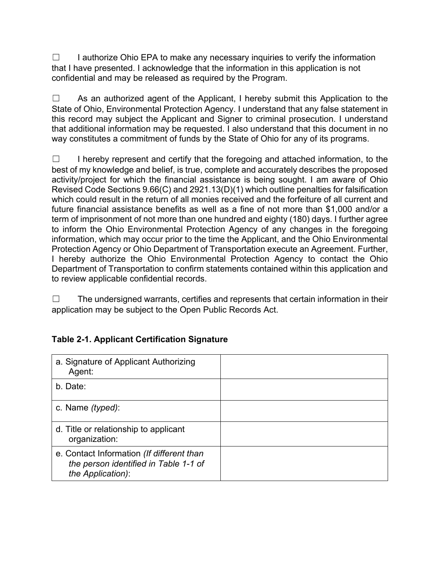□ I authorize Ohio EPA to make any necessary inquiries to verify the information that I have presented. I acknowledge that the information in this application is not confidential and may be released as required by the Program.

☐ As an authorized agent of the Applicant, I hereby submit this Application to the State of Ohio, Environmental Protection Agency. I understand that any false statement in this record may subject the Applicant and Signer to criminal prosecution. I understand that additional information may be requested. I also understand that this document in no way constitutes a commitment of funds by the State of Ohio for any of its programs.

☐ I hereby represent and certify that the foregoing and attached information, to the best of my knowledge and belief, is true, complete and accurately describes the proposed activity/project for which the financial assistance is being sought. I am aware of Ohio Revised Code Sections 9.66(C) and 2921.13(D)(1) which outline penalties for falsification which could result in the return of all monies received and the forfeiture of all current and future financial assistance benefits as well as a fine of not more than \$1,000 and/or a term of imprisonment of not more than one hundred and eighty (180) days. I further agree to inform the Ohio Environmental Protection Agency of any changes in the foregoing information, which may occur prior to the time the Applicant, and the Ohio Environmental Protection Agency or Ohio Department of Transportation execute an Agreement. Further, I hereby authorize the Ohio Environmental Protection Agency to contact the Ohio Department of Transportation to confirm statements contained within this application and to review applicable confidential records.

 $\Box$  The undersigned warrants, certifies and represents that certain information in their application may be subject to the Open Public Records Act.

| a. Signature of Applicant Authorizing<br>Agent:                                                         |  |
|---------------------------------------------------------------------------------------------------------|--|
| b. Date:                                                                                                |  |
| c. Name <i>(typed)</i> :                                                                                |  |
| d. Title or relationship to applicant<br>organization:                                                  |  |
| e. Contact Information (If different than<br>the person identified in Table 1-1 of<br>the Application): |  |

#### **Table 2-1. Applicant Certification Signature**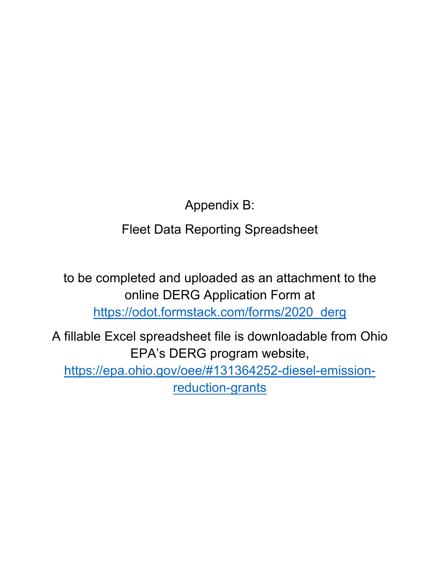Appendix B:

Fleet Data Reporting Spreadsheet

to be completed and uploaded as an attachment to the online DERG Application Form at [https://odot.formstack.com/forms/2020\\_derg](https://odot.formstack.com/forms/2020_derg)

A fillable Excel spreadsheet file is downloadable from Ohio EPA's DERG program website, [https://epa.ohio.gov/oee/#131364252-diesel-emission](https://epa.ohio.gov/oee/#131364252-diesel-emission-reduction-grants)[reduction-grants](https://epa.ohio.gov/oee/#131364252-diesel-emission-reduction-grants)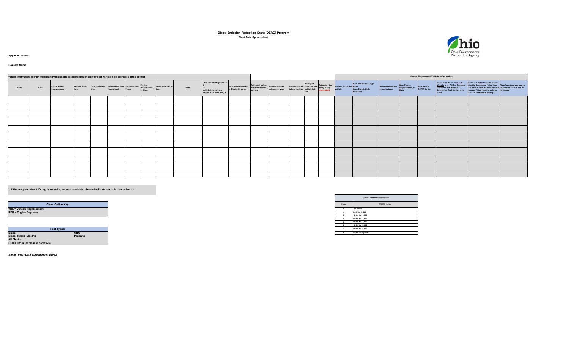| Vehicle Information: Identify the existing vehicles and associated information for each vehicle to be addressed in this project. |              |                                       |                                                                                                                 |  |                                                                                                                  |                                                 |               |                                                 |      |                                                                                                               |                                                                                 |              |                                                                                                                 | <b>New or Repowered Vehicle Information</b>                                                                                 |                                                                                                                 |                                              |                                    |                                                      |                                                                                                                                    |                                                                                                                                                                                                                                                    |                        |
|----------------------------------------------------------------------------------------------------------------------------------|--------------|---------------------------------------|-----------------------------------------------------------------------------------------------------------------|--|------------------------------------------------------------------------------------------------------------------|-------------------------------------------------|---------------|-------------------------------------------------|------|---------------------------------------------------------------------------------------------------------------|---------------------------------------------------------------------------------|--------------|-----------------------------------------------------------------------------------------------------------------|-----------------------------------------------------------------------------------------------------------------------------|-----------------------------------------------------------------------------------------------------------------|----------------------------------------------|------------------------------------|------------------------------------------------------|------------------------------------------------------------------------------------------------------------------------------------|----------------------------------------------------------------------------------------------------------------------------------------------------------------------------------------------------------------------------------------------------|------------------------|
| <b>Make</b>                                                                                                                      | <b>Model</b> | <b>Engine Model</b><br>(manufacturer) |                                                                                                                 |  | Vehicle Model * Engine Model Engine Fuel Type Engine Horse- Engine<br>Year Year Year [[e.g., diesel] Power Power |                                                 | Displacement, | Vehicle GVWR, in<br><b>libs</b>                 | VIN# | <b>Ohio Vehicle Registration</b><br>Vehicle International<br><b>Registration Plan (IRP) #</b>                 | Vehicle Replacement of fuel consumed, estimate year                             | $ per\>year$ | <b>Estimated gallons</b> Estimated miles                                                                        | The Estimated # of days per year Estimated # of Model Year of New Used<br>idling hrs./day vehicle is in Analysis of Vehicle |                                                                                                                 | New Vehicle Fuel Type<br>(e.g., Diesel, CNG, | New Engine Model<br>(manufacturer) | New Engine<br>Displacement, in New Vehicle<br>liters | If this is an Alternative Fuel<br>Vehicle (e.g., CNG or Propane),<br>document the primary<br><b>Alternative Fuel Station to be</b> | If this is a <b>hybrid</b> vehicle please<br>$ $ identify the percent (%) of time $ $ Ohio County where new or<br>the vehicle runs on the fuel & the repowered vehicle will be<br>percent (%) of time the vehicle<br>runs on the electric battery. | <b>The Pregistered</b> |
|                                                                                                                                  |              |                                       |                                                                                                                 |  |                                                                                                                  |                                                 |               |                                                 |      |                                                                                                               |                                                                                 |              |                                                                                                                 |                                                                                                                             |                                                                                                                 |                                              |                                    |                                                      |                                                                                                                                    |                                                                                                                                                                                                                                                    |                        |
|                                                                                                                                  |              |                                       |                                                                                                                 |  |                                                                                                                  |                                                 |               |                                                 |      |                                                                                                               |                                                                                 |              |                                                                                                                 |                                                                                                                             |                                                                                                                 |                                              |                                    |                                                      |                                                                                                                                    |                                                                                                                                                                                                                                                    |                        |
|                                                                                                                                  |              |                                       |                                                                                                                 |  |                                                                                                                  |                                                 |               |                                                 |      |                                                                                                               |                                                                                 |              |                                                                                                                 |                                                                                                                             |                                                                                                                 |                                              |                                    |                                                      |                                                                                                                                    |                                                                                                                                                                                                                                                    |                        |
|                                                                                                                                  |              |                                       |                                                                                                                 |  |                                                                                                                  |                                                 |               |                                                 |      |                                                                                                               |                                                                                 |              |                                                                                                                 |                                                                                                                             |                                                                                                                 |                                              |                                    |                                                      |                                                                                                                                    |                                                                                                                                                                                                                                                    |                        |
|                                                                                                                                  |              |                                       |                                                                                                                 |  |                                                                                                                  |                                                 |               |                                                 |      |                                                                                                               |                                                                                 |              |                                                                                                                 |                                                                                                                             |                                                                                                                 |                                              |                                    |                                                      |                                                                                                                                    |                                                                                                                                                                                                                                                    |                        |
|                                                                                                                                  |              |                                       |                                                                                                                 |  |                                                                                                                  |                                                 |               |                                                 |      |                                                                                                               |                                                                                 |              |                                                                                                                 |                                                                                                                             |                                                                                                                 |                                              |                                    |                                                      |                                                                                                                                    |                                                                                                                                                                                                                                                    |                        |
|                                                                                                                                  |              |                                       |                                                                                                                 |  |                                                                                                                  |                                                 |               |                                                 |      |                                                                                                               |                                                                                 |              |                                                                                                                 |                                                                                                                             |                                                                                                                 |                                              |                                    |                                                      |                                                                                                                                    |                                                                                                                                                                                                                                                    |                        |
|                                                                                                                                  |              |                                       |                                                                                                                 |  |                                                                                                                  |                                                 |               |                                                 |      | the contract of the contract of the contract of the contract of the contract of the contract of the           | the contract of the contract of the contract of the contract of the contract of |              |                                                                                                                 |                                                                                                                             |                                                                                                                 |                                              |                                    |                                                      |                                                                                                                                    |                                                                                                                                                                                                                                                    |                        |
|                                                                                                                                  |              |                                       |                                                                                                                 |  |                                                                                                                  |                                                 |               |                                                 |      |                                                                                                               | the contract of the contract of the contract of the contract of the contract of |              | the contract of the contract of the contract of the contract of the contract of the contract of the contract of |                                                                                                                             | the contract of the contract of the contract of the contract of the contract of the contract of the contract of |                                              |                                    |                                                      |                                                                                                                                    |                                                                                                                                                                                                                                                    |                        |
| the contract of the contract of the contract of the contract of the contract of                                                  |              |                                       |                                                                                                                 |  |                                                                                                                  |                                                 |               |                                                 |      | 1000 - 1000 - 1000 - 1000 - 1000 - 1000 - 1000 - 1000 - 1000 - 1000 - 1000 - 1000 - 1000 - 1000 - 1000 - 1000 |                                                                                 |              | the contract of the contract of the contract of the contract of the contract of the contract of the contract of |                                                                                                                             |                                                                                                                 |                                              |                                    |                                                      |                                                                                                                                    |                                                                                                                                                                                                                                                    |                        |
|                                                                                                                                  |              |                                       | the contract of the contract of the contract of the contract of the contract of the contract of the contract of |  |                                                                                                                  | the contract of the contract of the contract of |               | the contract of the contract of the contract of |      |                                                                                                               |                                                                                 |              |                                                                                                                 |                                                                                                                             |                                                                                                                 |                                              |                                    |                                                      |                                                                                                                                    |                                                                                                                                                                                                                                                    |                        |
|                                                                                                                                  |              |                                       |                                                                                                                 |  |                                                                                                                  |                                                 |               |                                                 |      |                                                                                                               |                                                                                 |              |                                                                                                                 |                                                                                                                             |                                                                                                                 |                                              |                                    |                                                      |                                                                                                                                    |                                                                                                                                                                                                                                                    |                        |

# **Contact Name:**

# **Diesel Emission Reduction Grant (DERG) Program Fleet Data Spreadsheet**

# **Applicant Name:**

# **\* If the engine label / ID tag is missing or not readable please indicate such in the column.**

| <b>Vehicle GVWR Classifications</b> |                    |  |  |  |  |  |  |
|-------------------------------------|--------------------|--|--|--|--|--|--|
| <b>Class</b>                        | GVWR, in lbs.      |  |  |  |  |  |  |
| 1                                   | $= 6,000$          |  |  |  |  |  |  |
| $\mathbf{2}$                        | 6,001 to 10,000    |  |  |  |  |  |  |
| 3                                   | 10,001 to 14,000   |  |  |  |  |  |  |
| 4                                   | 14,001 to 16,000   |  |  |  |  |  |  |
| 5                                   | 16,001 to 19,500   |  |  |  |  |  |  |
| $\boldsymbol{6}$                    | 19,501 to 26,000   |  |  |  |  |  |  |
| 7                                   | 26,001 to 33,000   |  |  |  |  |  |  |
| 8                                   | 33,001 and greater |  |  |  |  |  |  |



|                                    | <b>Fuel Types:</b> |
|------------------------------------|--------------------|
| <b>Diesel</b>                      | CNG                |
| Diesel-Hybrid-Electric             | Propane            |
| <b>All Electric</b>                |                    |
| OTH = Other (explain in narrative) |                    |

| <b>Clean Option Key:</b> |
|--------------------------|
|                          |
|                          |
|                          |

*Name: Fleet-Data-Spreadsheet\_DERG*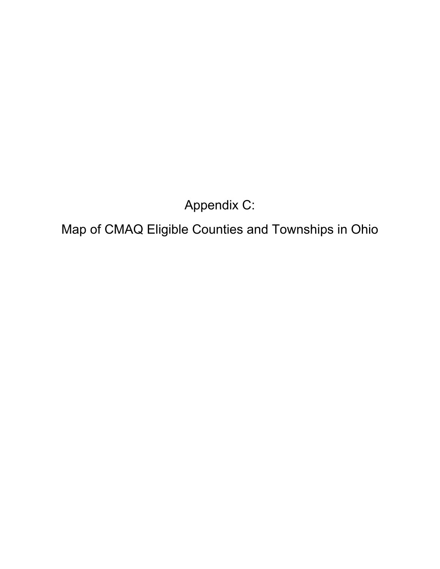Appendix C:

Map of CMAQ Eligible Counties and Townships in Ohio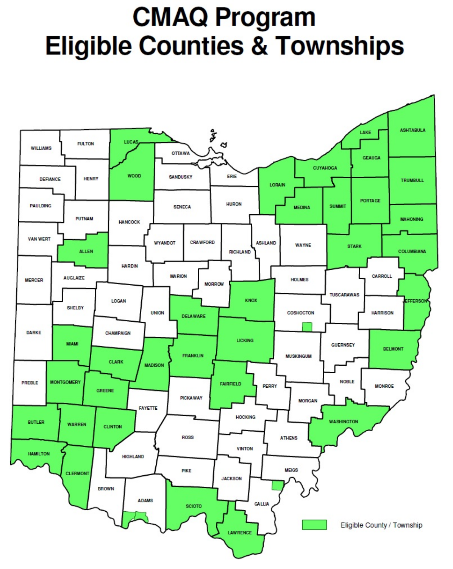# **CMAQ Program Eligible Counties & Townships**

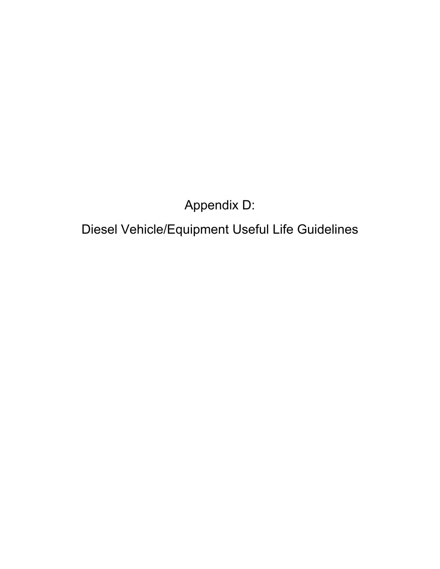Appendix D:

Diesel Vehicle/Equipment Useful Life Guidelines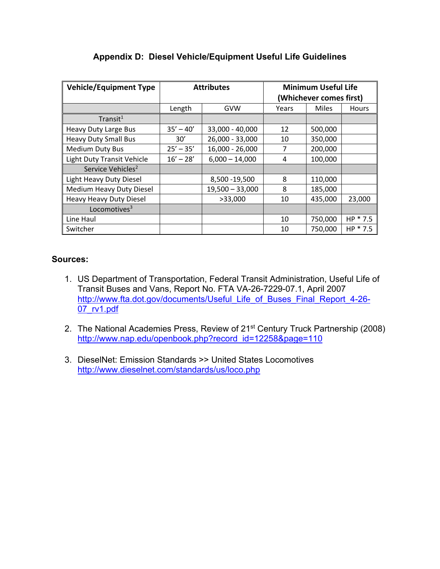| <b>Vehicle/Equipment Type</b>     |             | <b>Attributes</b> | <b>Minimum Useful Life</b><br>(Whichever comes first) |              |              |
|-----------------------------------|-------------|-------------------|-------------------------------------------------------|--------------|--------------|
|                                   | Length      | GVW               | Years                                                 | <b>Miles</b> | <b>Hours</b> |
| Transit <sup>1</sup>              |             |                   |                                                       |              |              |
| <b>Heavy Duty Large Bus</b>       | $35' - 40'$ | 33,000 - 40,000   | 12                                                    | 500,000      |              |
| <b>Heavy Duty Small Bus</b>       | 30'         | 26,000 - 33,000   | 10                                                    | 350,000      |              |
| <b>Medium Duty Bus</b>            | $25' - 35'$ | 16,000 - 26,000   | 7                                                     | 200,000      |              |
| <b>Light Duty Transit Vehicle</b> | $16' - 28'$ | $6,000 - 14,000$  | 4                                                     | 100,000      |              |
| Service Vehicles <sup>2</sup>     |             |                   |                                                       |              |              |
| Light Heavy Duty Diesel           |             | 8,500 - 19,500    | 8                                                     | 110,000      |              |
| <b>Medium Heavy Duty Diesel</b>   |             | $19,500 - 33,000$ | 8                                                     | 185,000      |              |
| <b>Heavy Heavy Duty Diesel</b>    |             | >33,000           | 10                                                    | 435,000      | 23,000       |
| Locomotives $3$                   |             |                   |                                                       |              |              |
| Line Haul                         |             |                   | 10                                                    | 750,000      | $HP * 7.5$   |
| Switcher                          |             |                   | 10                                                    | 750,000      | $HP * 7.5$   |

#### **Appendix D: Diesel Vehicle/Equipment Useful Life Guidelines**

#### **Sources:**

- 1. US Department of Transportation, Federal Transit Administration, Useful Life of Transit Buses and Vans, Report No. FTA VA-26-7229-07.1, April 2007 [http://www.fta.dot.gov/documents/Useful\\_Life\\_of\\_Buses\\_Final\\_Report\\_4-26-](http://www.fta.dot.gov/documents/Useful_Life_of_Buses_Final_Report_4-26-07_rv1.pdf) [07\\_rv1.pdf](http://www.fta.dot.gov/documents/Useful_Life_of_Buses_Final_Report_4-26-07_rv1.pdf)
- 2. The National Academies Press, Review of 21<sup>st</sup> Century Truck Partnership (2008) [http://www.nap.edu/openbook.php?record\\_id=12258&page=110](http://www.nap.edu/openbook.php?record_id=12258&page=110)
- 3. DieselNet: Emission Standards >> United States Locomotives <http://www.dieselnet.com/standards/us/loco.php>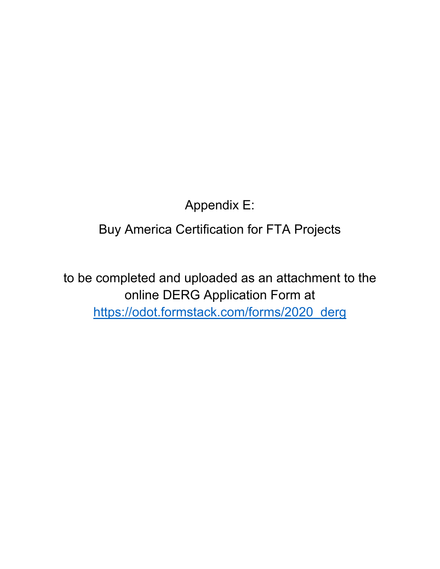Appendix E:

Buy America Certification for FTA Projects

to be completed and uploaded as an attachment to the online DERG Application Form at [https://odot.formstack.com/forms/2020\\_derg](https://odot.formstack.com/forms/2020_derg)